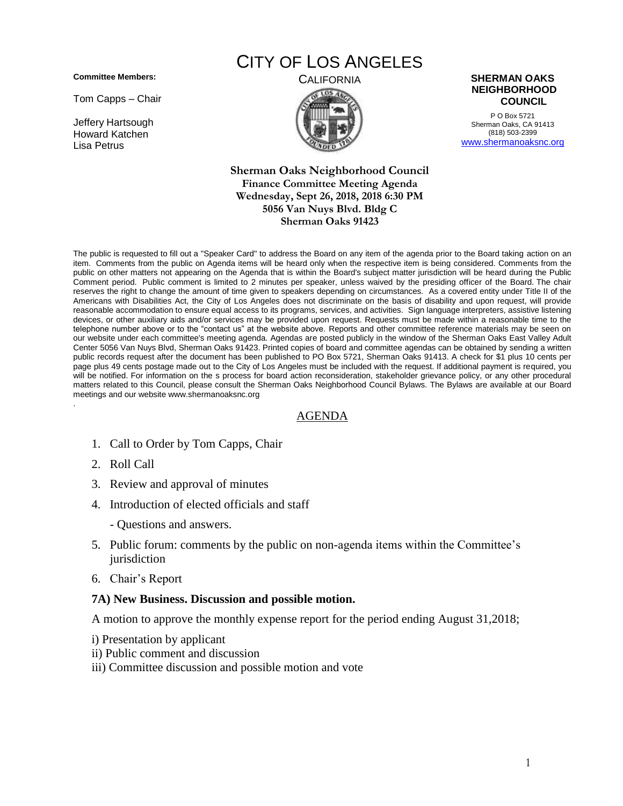**Committee Members:**

Tom Capps – Chair

Jeffery Hartsough Howard Katchen Lisa Petrus

# CITY OF LOS ANGELES



P O Box 5721 Sherman Oaks, CA 91413 (818) 503-2399 [www.shermanoaksnc.org](http://www.shermanoaksnc.org/)

**Sherman Oaks Neighborhood Council Finance Committee Meeting Agenda Wednesday, Sept 26, 2018, 2018 6:30 PM 5056 Van Nuys Blvd. Bldg C Sherman Oaks 91423**

The public is requested to fill out a "Speaker Card" to address the Board on any item of the agenda prior to the Board taking action on an item. Comments from the public on Agenda items will be heard only when the respective item is being considered. Comments from the public on other matters not appearing on the Agenda that is within the Board's subject matter jurisdiction will be heard during the Public Comment period. Public comment is limited to 2 minutes per speaker, unless waived by the presiding officer of the Board. The chair reserves the right to change the amount of time given to speakers depending on circumstances. As a covered entity under Title II of the Americans with Disabilities Act, the City of Los Angeles does not discriminate on the basis of disability and upon request, will provide reasonable accommodation to ensure equal access to its programs, services, and activities. Sign language interpreters, assistive listening devices, or other auxiliary aids and/or services may be provided upon request. Requests must be made within a reasonable time to the telephone number above or to the "contact us" at the website above. Reports and other committee reference materials may be seen on our website under each committee's meeting agenda. Agendas are posted publicly in the window of the Sherman Oaks East Valley Adult Center 5056 Van Nuys Blvd, Sherman Oaks 91423. Printed copies of board and committee agendas can be obtained by sending a written public records request after the document has been published to PO Box 5721, Sherman Oaks 91413. A check for \$1 plus 10 cents per page plus 49 cents postage made out to the City of Los Angeles must be included with the request. If additional payment is required, you will be notified. For information on the s process for board action reconsideration, stakeholder grievance policy, or any other procedural matters related to this Council, please consult the Sherman Oaks Neighborhood Council Bylaws. The Bylaws are available at our Board meetings and our website www.shermanoaksnc.org .

### AGENDA

- 1. Call to Order by Tom Capps, Chair
- 2. Roll Call
- 3. Review and approval of minutes
- 4. Introduction of elected officials and staff
	- Questions and answers.
- 5. Public forum: comments by the public on non-agenda items within the Committee's jurisdiction
- 6. Chair's Report

#### **7A) New Business. Discussion and possible motion.**

A motion to approve the monthly expense report for the period ending August 31,2018;

- i) Presentation by applicant
- ii) Public comment and discussion
- iii) Committee discussion and possible motion and vote